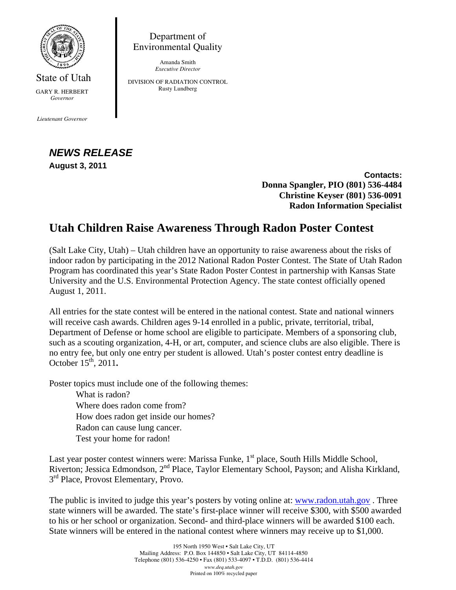

State of Utah GARY R. HERBERT *Governor* 

*Lieutenant Governor* 

## *NEWS RELEASE* **August 3, 2011**

**Contacts: Donna Spangler, PIO (801) 536-4484 Christine Keyser (801) 536-0091 Radon Information Specialist** 

## **Utah Children Raise Awareness Through Radon Poster Contest**

Department of Environmental Quality Amanda Smith *Executive Director*  DIVISION OF RADIATION CONTROL Rusty Lundberg

(Salt Lake City, Utah) – Utah children have an opportunity to raise awareness about the risks of indoor radon by participating in the 2012 National Radon Poster Contest. The State of Utah Radon Program has coordinated this year's State Radon Poster Contest in partnership with Kansas State University and the U.S. Environmental Protection Agency. The state contest officially opened August 1, 2011.

All entries for the state contest will be entered in the national contest. State and national winners will receive cash awards. Children ages 9-14 enrolled in a public, private, territorial, tribal, Department of Defense or home school are eligible to participate. Members of a sponsoring club, such as a scouting organization, 4-H, or art, computer, and science clubs are also eligible. There is no entry fee, but only one entry per student is allowed. Utah's poster contest entry deadline is October 15<sup>th</sup>, 2011.

Poster topics must include one of the following themes:

What is radon? Where does radon come from? How does radon get inside our homes? Radon can cause lung cancer. Test your home for radon!

Last year poster contest winners were: Marissa Funke,  $1<sup>st</sup>$  place, South Hills Middle School, Riverton; Jessica Edmondson, 2nd Place, Taylor Elementary School, Payson; and Alisha Kirkland,  $3<sup>rd</sup>$  Place, Provost Elementary, Provo.

The public is invited to judge this year's posters by voting online at: www.radon.utah.gov . Three state winners will be awarded. The state's first-place winner will receive \$300, with \$500 awarded to his or her school or organization. Second- and third-place winners will be awarded \$100 each. State winners will be entered in the national contest where winners may receive up to \$1,000.